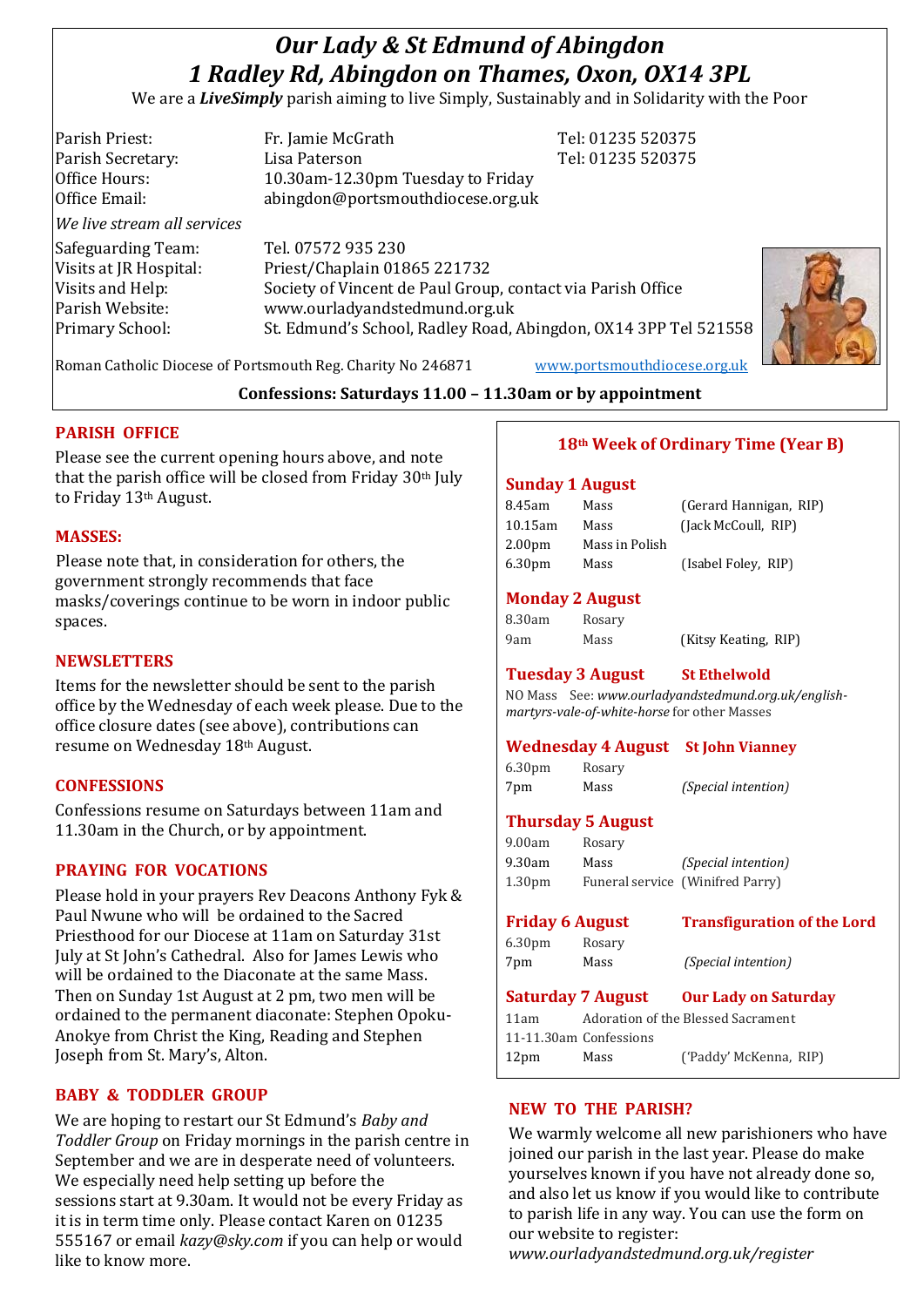# *Our Lady & St Edmund of Abingdon 1 Radley Rd, Abingdon on Thames, Oxon, OX14 3PL*

We are a *LiveSimply* parish aiming to live Simply, Sustainably and in Solidarity with the Poor

| Parish Priest:              | Fr. Jamie McGrath                                               | Tel: 01235 520375 |  |
|-----------------------------|-----------------------------------------------------------------|-------------------|--|
| Parish Secretary:           | Lisa Paterson                                                   | Tel: 01235 520375 |  |
| Office Hours:               | 10.30am-12.30pm Tuesday to Friday                               |                   |  |
| Office Email:               | abingdon@portsmouthdiocese.org.uk                               |                   |  |
| We live stream all services |                                                                 |                   |  |
| Safeguarding Team:          | Tel. 07572 935 230                                              |                   |  |
| Visits at JR Hospital:      | Priest/Chaplain 01865 221732                                    |                   |  |
| Visits and Help:            | Society of Vincent de Paul Group, contact via Parish Office     |                   |  |
| Parish Website:             | www.ourladyandstedmund.org.uk                                   |                   |  |
| Primary School:             | St. Edmund's School, Radley Road, Abingdon, OX14 3PP Tel 521558 |                   |  |



Roman Catholic Diocese of Portsmouth Reg. Charity No 246871 [www.portsmouthdiocese.org.uk](http://www.portsmouthdiocese.org.uk/)

## **Confessions: Saturdays 11.00 – 11.30am or by appointment**

## **PARISH OFFICE**

Please see the current opening hours above, and note that the parish office will be closed from Friday 30th July to Friday 13th August.

#### **MASSES:**

Please note that, in consideration for others, the government strongly recommends that face masks/coverings continue to be worn in indoor public spaces.

## **NEWSLETTERS**

Items for the newsletter should be sent to the parish office by the Wednesday of each week please. Due to the office closure dates (see above), contributions can resume on Wednesday 18th August.

## **CONFESSIONS**

Confessions resume on Saturdays between 11am and 11.30am in the Church, or by appointment.

## **PRAYING FOR VOCATIONS**

Please hold in your prayers Rev Deacons Anthony Fyk & Paul Nwune who will be ordained to the Sacred Priesthood for our Diocese at 11am on Saturday 31st July at St John's Cathedral. Also for James Lewis who will be ordained to the Diaconate at the same Mass. Then on Sunday 1st August at 2 pm, two men will be ordained to the permanent diaconate: Stephen Opoku-Anokye from Christ the King, Reading and Stephen Joseph from St. Mary's, Alton.

## **BABY & TODDLER GROUP**

We are hoping to restart our St Edmund's *Baby and Toddler Group* on Friday mornings in the parish centre in September and we are in desperate need of volunteers. We especially need help setting up before the sessions start at 9.30am. It would not be every Friday as it is in term time only. Please contact Karen on 01235 555167 or email *kazy@sky.com* if you can help or would like to know more.

## **18th Week of Ordinary Time (Year B)**

#### **Sunday 1 August**

| Mass           | (Gerard Hannigan, RIP) |
|----------------|------------------------|
| Mass           | (Jack McCoull, RIP)    |
| Mass in Polish |                        |
| Mass           | (Isabel Foley, RIP)    |
|                |                        |

#### **Monday 2 August**

| 8.30am | Rosary |
|--------|--------|
| 9am    | Mass   |

9am Mass (Kitsy Keating, RIP)

# **Tuesday 3 August St Ethelwold**

NO Mass See: *www.ourladyandstedmund.org.uk/englishmartyrs-vale-of-white-horse* for other Masses

#### **Wednesday 4 August St John Vianney**

6.30pm Rosary 7pm Mass *(Special intention)*

### **Thursday 5 August**

9.00am Rosary 9.30am Mass *(Special intention)* 1.30pm Funeral service (Winifred Parry)

| <b>Friday 6 August</b>   |        | <b>Transfiguration of the Lord</b> |
|--------------------------|--------|------------------------------------|
| 6.30 <sub>pm</sub>       | Rosary |                                    |
| 7pm                      | Mass   | <i>(Special intention)</i>         |
| <b>Saturday 7 August</b> |        | <b>Our Lady on Saturday</b>        |
| 11am                     |        | Adoration of the Blessed Sacrament |
| 11-11.30am Confessions   |        |                                    |

#### **NEW TO THE PARISH?**

We warmly welcome all new parishioners who have joined our parish in the last year. Please do make yourselves known if you have not already done so, and also let us know if you would like to contribute to parish life in any way. You can use the form on our website to register:

*www.ourladyandstedmund.org.uk/register*

12pm Mass ('Paddy' McKenna, RIP)